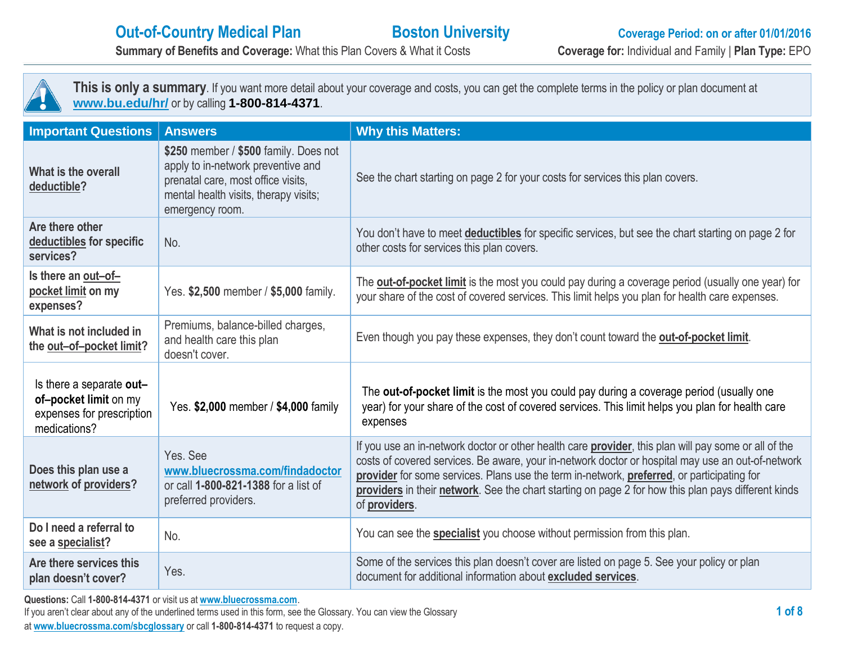# **Out-of-Country Medical Plan Boston University Coverage Period: on or after 01/01/2016**

**Summary of Benefits and Coverage:** What this Plan Covers & What it Costs **Coverage for:** Individual and Family | **Plan Type:** EPO



This is only a summary. If you want more detail about your coverage and costs, you can get the complete terms in the policy or plan document at **www.bu.edu/hr/** or by calling **1-800-814-4371**.

| <b>Important Questions</b>                                                                     | <b>Answers</b>                                                                                                                                                                | <b>Why this Matters:</b>                                                                                                                                                                                                                                                                                                                                                                                                        |
|------------------------------------------------------------------------------------------------|-------------------------------------------------------------------------------------------------------------------------------------------------------------------------------|---------------------------------------------------------------------------------------------------------------------------------------------------------------------------------------------------------------------------------------------------------------------------------------------------------------------------------------------------------------------------------------------------------------------------------|
| What is the overall<br>deductible?                                                             | \$250 member / \$500 family. Does not<br>apply to in-network preventive and<br>prenatal care, most office visits,<br>mental health visits, therapy visits;<br>emergency room. | See the chart starting on page 2 for your costs for services this plan covers.                                                                                                                                                                                                                                                                                                                                                  |
| Are there other<br>deductibles for specific<br>services?                                       | No.                                                                                                                                                                           | You don't have to meet deductibles for specific services, but see the chart starting on page 2 for<br>other costs for services this plan covers.                                                                                                                                                                                                                                                                                |
| Is there an out-of-<br>pocket limit on my<br>expenses?                                         | Yes. \$2,500 member / \$5,000 family.                                                                                                                                         | The <b>out-of-pocket limit</b> is the most you could pay during a coverage period (usually one year) for<br>your share of the cost of covered services. This limit helps you plan for health care expenses.                                                                                                                                                                                                                     |
| What is not included in<br>the out-of-pocket limit?                                            | Premiums, balance-billed charges,<br>and health care this plan<br>doesn't cover.                                                                                              | Even though you pay these expenses, they don't count toward the out-of-pocket limit.                                                                                                                                                                                                                                                                                                                                            |
| Is there a separate out-<br>of-pocket limit on my<br>expenses for prescription<br>medications? | Yes. \$2,000 member / \$4,000 family                                                                                                                                          | The out-of-pocket limit is the most you could pay during a coverage period (usually one<br>year) for your share of the cost of covered services. This limit helps you plan for health care<br>expenses                                                                                                                                                                                                                          |
| Does this plan use a<br>network of providers?                                                  | Yes. See<br>www.bluecrossma.com/findadoctor<br>or call 1-800-821-1388 for a list of<br>preferred providers.                                                                   | If you use an in-network doctor or other health care provider, this plan will pay some or all of the<br>costs of covered services. Be aware, your in-network doctor or hospital may use an out-of-network<br>provider for some services. Plans use the term in-network, preferred, or participating for<br>providers in their network. See the chart starting on page 2 for how this plan pays different kinds<br>of providers. |
| Do I need a referral to<br>see a specialist?                                                   | No.                                                                                                                                                                           | You can see the <b>specialist</b> you choose without permission from this plan.                                                                                                                                                                                                                                                                                                                                                 |
| Are there services this<br>plan doesn't cover?                                                 | Yes.                                                                                                                                                                          | Some of the services this plan doesn't cover are listed on page 5. See your policy or plan<br>document for additional information about excluded services.                                                                                                                                                                                                                                                                      |

**Questions:** Call **1-800-814-4371** or visit us at **[www.bluecrossma.com](http://www.bluecrossma.com/)**.

If you aren't clear about any of the underlined terms used in this form, see the Glossary. You can view the Glossary

at **[www.bluecrossma.com/sbcglossary](http://www.bluecrossma.com/sbcglossary)** or call **1-800-814-4371** to request a copy.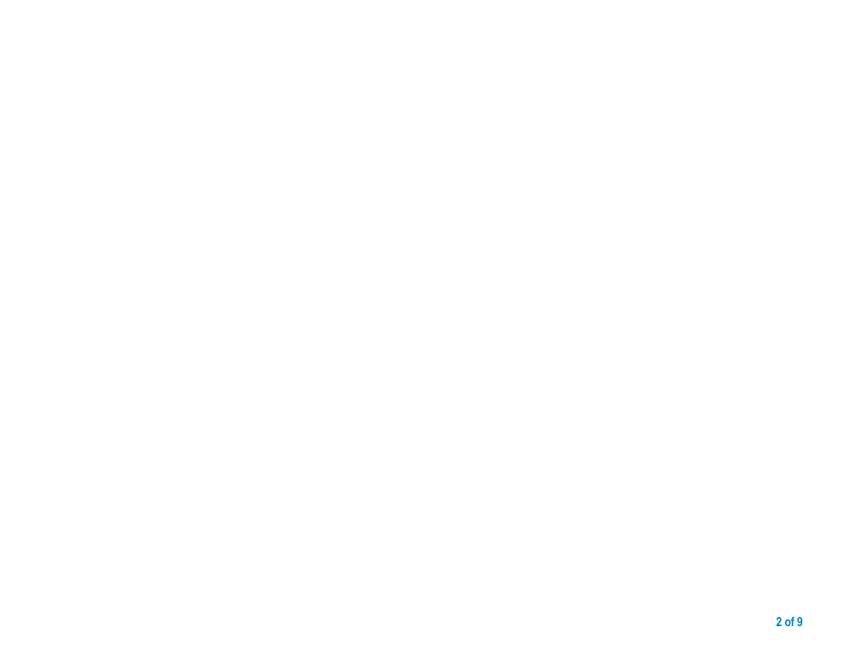**of 9**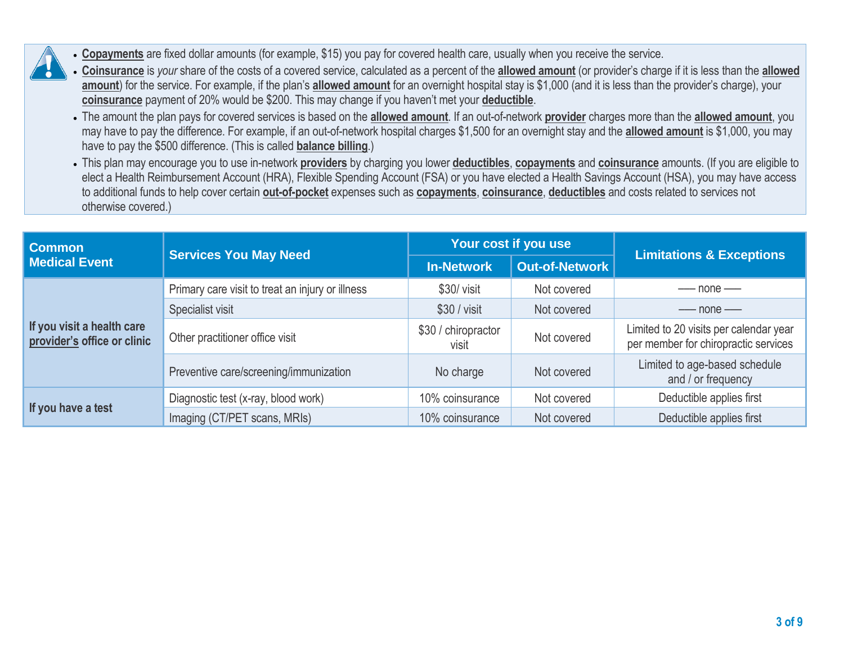- **Copayments** are fixed dollar amounts (for example, \$15) you pay for covered health care, usually when you receive the service.
- **Coinsurance** is *your* share of the costs of a covered service, calculated as a percent of the **allowed amount** (or provider's charge if it is less than the **allowed amount**) for the service. For example, if the plan's **allowed amount** for an overnight hospital stay is \$1,000 (and it is less than the provider's charge), your **coinsurance** payment of 20% would be \$200. This may change if you haven't met your **deductible**.
- The amount the plan pays for covered services is based on the **allowed amount**. If an out-of-network **provider** charges more than the **allowed amount**, you may have to pay the difference. For example, if an out-of-network hospital charges \$1,500 for an overnight stay and the **allowed amount** is \$1,000, you may have to pay the \$500 difference. (This is called **balance billing**.)
- This plan may encourage you to use in-network **providers** by charging you lower **deductibles**, **copayments** and **coinsurance** amounts. (If you are eligible to elect a Health Reimbursement Account (HRA), Flexible Spending Account (FSA) or you have elected a Health Savings Account (HSA), you may have access to additional funds to help cover certain **out-of-pocket** expenses such as **copayments**, **coinsurance**, **deductibles** and costs related to services not otherwise covered.)

| <b>Common</b>                                             | <b>Services You May Need</b>                     | Your cost if you use         |                       | <b>Limitations &amp; Exceptions</b>                                            |
|-----------------------------------------------------------|--------------------------------------------------|------------------------------|-----------------------|--------------------------------------------------------------------------------|
| <b>Medical Event</b>                                      |                                                  | <b>In-Network</b>            | <b>Out-of-Network</b> |                                                                                |
| If you visit a health care<br>provider's office or clinic | Primary care visit to treat an injury or illness | $$30$ / visit                | Not covered           | $-$ none $-$                                                                   |
|                                                           | <b>Specialist visit</b>                          | \$30 / visit                 | Not covered           | $-$ none $-$                                                                   |
|                                                           | Other practitioner office visit                  | \$30 / chiropractor<br>visit | Not covered           | Limited to 20 visits per calendar year<br>per member for chiropractic services |
|                                                           | Preventive care/screening/immunization           | No charge                    | Not covered           | Limited to age-based schedule<br>and / or frequency                            |
| If you have a test                                        | Diagnostic test (x-ray, blood work)              | 10% coinsurance              | Not covered           | Deductible applies first                                                       |
|                                                           | Imaging (CT/PET scans, MRIs)                     | 10% coinsurance              | Not covered           | Deductible applies first                                                       |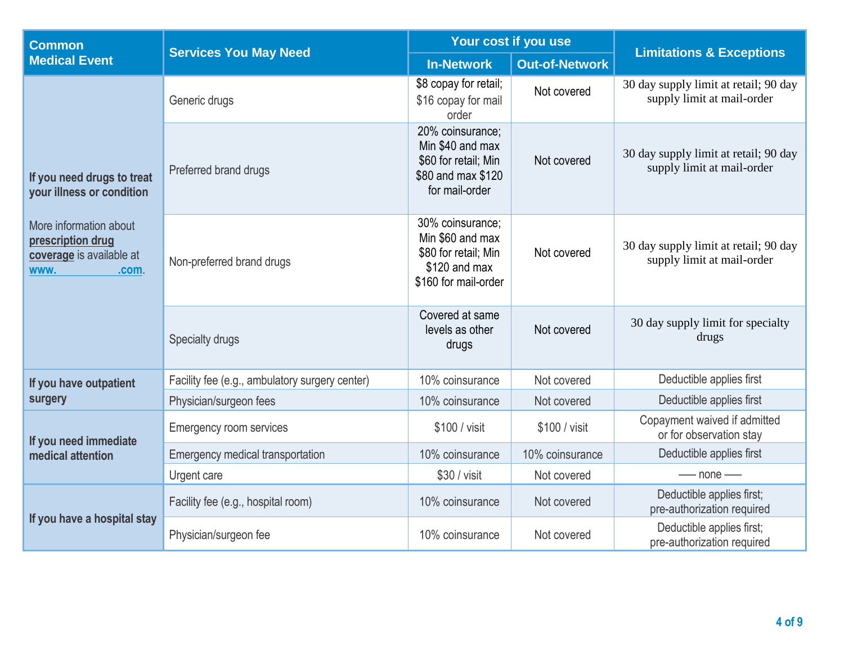| <b>Common</b>                                                                            |                                                | Your cost if you use                                                                                  |                       |                                                                     |
|------------------------------------------------------------------------------------------|------------------------------------------------|-------------------------------------------------------------------------------------------------------|-----------------------|---------------------------------------------------------------------|
| <b>Medical Event</b>                                                                     | <b>Services You May Need</b>                   | <b>In-Network</b>                                                                                     | <b>Out-of-Network</b> | <b>Limitations &amp; Exceptions</b>                                 |
| If you need drugs to treat<br>your illness or condition                                  | Generic drugs                                  | \$8 copay for retail;<br>\$16 copay for mail<br>order                                                 | Not covered           | 30 day supply limit at retail; 90 day<br>supply limit at mail-order |
|                                                                                          | Preferred brand drugs                          | 20% coinsurance:<br>Min \$40 and max<br>\$60 for retail; Min<br>\$80 and max \$120<br>for mail-order  | Not covered           | 30 day supply limit at retail; 90 day<br>supply limit at mail-order |
| More information about<br>prescription drug<br>coverage is available at<br>www.<br>.com. | Non-preferred brand drugs                      | 30% coinsurance;<br>Min \$60 and max<br>\$80 for retail; Min<br>\$120 and max<br>\$160 for mail-order | Not covered           | 30 day supply limit at retail; 90 day<br>supply limit at mail-order |
|                                                                                          | Specialty drugs                                | Covered at same<br>levels as other<br>drugs                                                           | Not covered           | 30 day supply limit for specialty<br>drugs                          |
| If you have outpatient                                                                   | Facility fee (e.g., ambulatory surgery center) | 10% coinsurance                                                                                       | Not covered           | Deductible applies first                                            |
| surgery                                                                                  | Physician/surgeon fees                         | 10% coinsurance                                                                                       | Not covered           | Deductible applies first                                            |
| If you need immediate<br>medical attention                                               | Emergency room services                        | \$100 / visit                                                                                         | \$100 / visit         | Copayment waived if admitted<br>or for observation stay             |
|                                                                                          | Emergency medical transportation               | 10% coinsurance                                                                                       | 10% coinsurance       | Deductible applies first                                            |
|                                                                                          | Urgent care                                    | \$30 / visit                                                                                          | Not covered           | $\overline{\phantom{nn}}$ none $\overline{\phantom{nn}}$            |
| If you have a hospital stay                                                              | Facility fee (e.g., hospital room)             | 10% coinsurance                                                                                       | Not covered           | Deductible applies first;<br>pre-authorization required             |
|                                                                                          | Physician/surgeon fee                          | 10% coinsurance                                                                                       | Not covered           | Deductible applies first;<br>pre-authorization required             |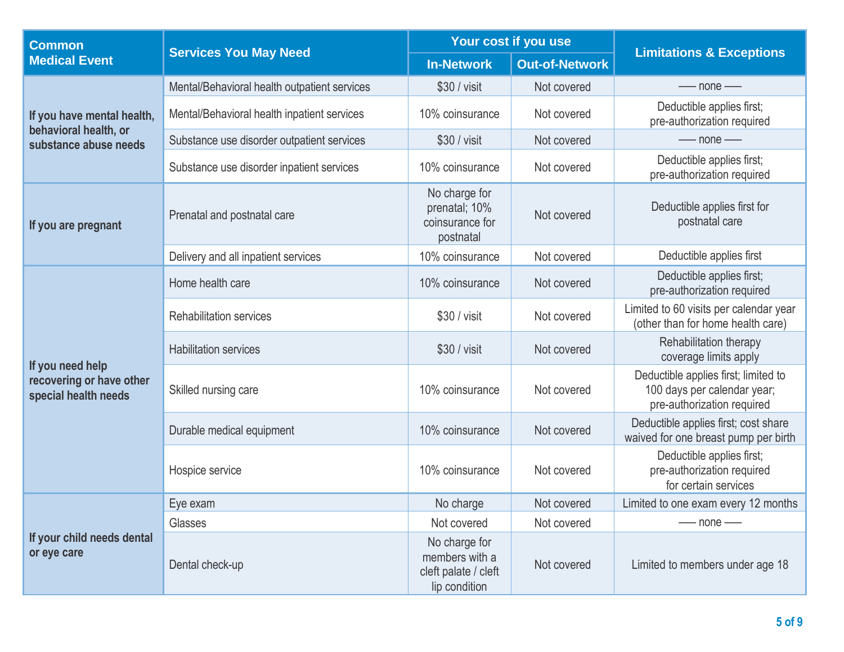| <b>Common</b>                                                                | <b>Services You May Need</b>                 | Your cost if you use                                                     |                       |                                                                                                   |
|------------------------------------------------------------------------------|----------------------------------------------|--------------------------------------------------------------------------|-----------------------|---------------------------------------------------------------------------------------------------|
| <b>Medical Event</b>                                                         |                                              | <b>In-Network</b>                                                        | <b>Out-of-Network</b> | <b>Limitations &amp; Exceptions</b>                                                               |
| If you have mental health,<br>behavioral health, or<br>substance abuse needs | Mental/Behavioral health outpatient services | \$30 / visit                                                             | Not covered           | $-$ none $-$                                                                                      |
|                                                                              | Mental/Behavioral health inpatient services  | 10% coinsurance                                                          | Not covered           | Deductible applies first;<br>pre-authorization required                                           |
|                                                                              | Substance use disorder outpatient services   | \$30 / visit                                                             | Not covered           | $\longrightarrow$ none $\longrightarrow$                                                          |
|                                                                              | Substance use disorder inpatient services    | 10% coinsurance                                                          | Not covered           | Deductible applies first;<br>pre-authorization required                                           |
| If you are pregnant                                                          | Prenatal and postnatal care                  | No charge for<br>prenatal; 10%<br>coinsurance for<br>postnatal           | Not covered           | Deductible applies first for<br>postnatal care                                                    |
|                                                                              | Delivery and all inpatient services          | 10% coinsurance                                                          | Not covered           | Deductible applies first                                                                          |
|                                                                              | Home health care                             | 10% coinsurance                                                          | Not covered           | Deductible applies first;<br>pre-authorization required                                           |
|                                                                              | <b>Rehabilitation services</b>               | \$30 / visit                                                             | Not covered           | Limited to 60 visits per calendar year<br>(other than for home health care)                       |
| If you need help<br>recovering or have other<br>special health needs         | <b>Habilitation services</b>                 | \$30 / visit                                                             | Not covered           | Rehabilitation therapy<br>coverage limits apply                                                   |
|                                                                              | Skilled nursing care                         | 10% coinsurance                                                          | Not covered           | Deductible applies first; limited to<br>100 days per calendar year;<br>pre-authorization required |
|                                                                              | Durable medical equipment                    | 10% coinsurance                                                          | Not covered           | Deductible applies first; cost share<br>waived for one breast pump per birth                      |
|                                                                              | Hospice service                              | 10% coinsurance                                                          | Not covered           | Deductible applies first;<br>pre-authorization required<br>for certain services                   |
|                                                                              | Eye exam                                     | No charge                                                                | Not covered           | Limited to one exam every 12 months                                                               |
| If your child needs dental<br>or eye care                                    | Glasses                                      | Not covered                                                              | Not covered           | $-$ none $-$                                                                                      |
|                                                                              | Dental check-up                              | No charge for<br>members with a<br>cleft palate / cleft<br>lip condition | Not covered           | Limited to members under age 18                                                                   |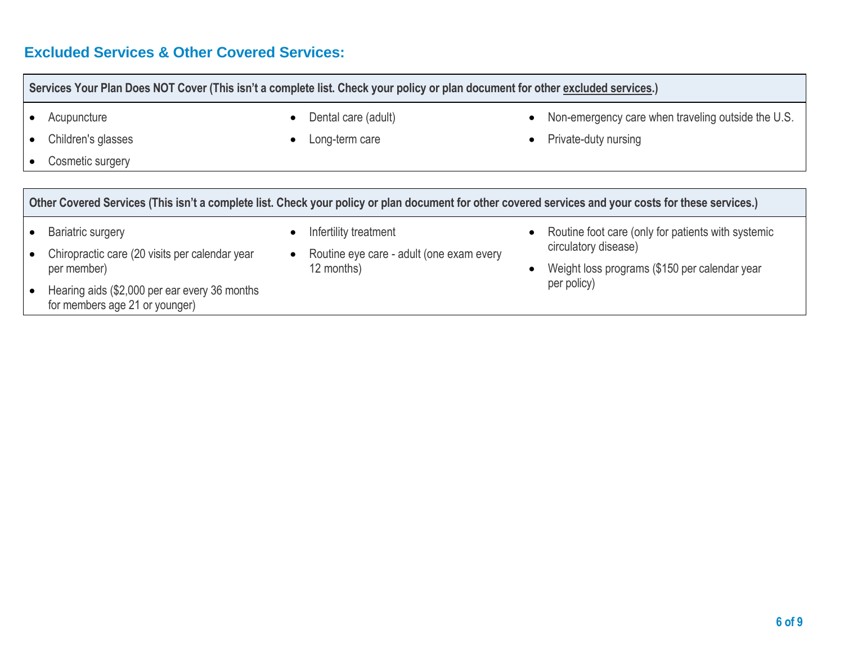# **Excluded Services & Other Covered Services:**

| Services Your Plan Does NOT Cover (This isn't a complete list. Check your policy or plan document for other excluded services.)                       |                                                                                 |                                                                                                                                          |  |  |
|-------------------------------------------------------------------------------------------------------------------------------------------------------|---------------------------------------------------------------------------------|------------------------------------------------------------------------------------------------------------------------------------------|--|--|
| Acupuncture<br>Children's glasses<br>Cosmetic surgery                                                                                                 | Dental care (adult)<br>Long-term care                                           | Non-emergency care when traveling outside the U.S.<br>$\bullet$<br>Private-duty nursing<br>$\bullet$                                     |  |  |
| Other Covered Services (This isn't a complete list. Check your policy or plan document for other covered services and your costs for these services.) |                                                                                 |                                                                                                                                          |  |  |
| <b>Bariatric surgery</b><br>Chiropractic care (20 visits per calendar year<br>per member)                                                             | Infertility treatment<br>Routine eye care - adult (one exam every<br>12 months) | Routine foot care (only for patients with systemic<br>$\bullet$<br>circulatory disease)<br>Weight loss programs (\$150 per calendar year |  |  |

- Hearing aids (\$2,000 per ear every 36 months for members age 21 or younger)
- 12 months)
- Weight loss programs (\$150 per calendar year per policy)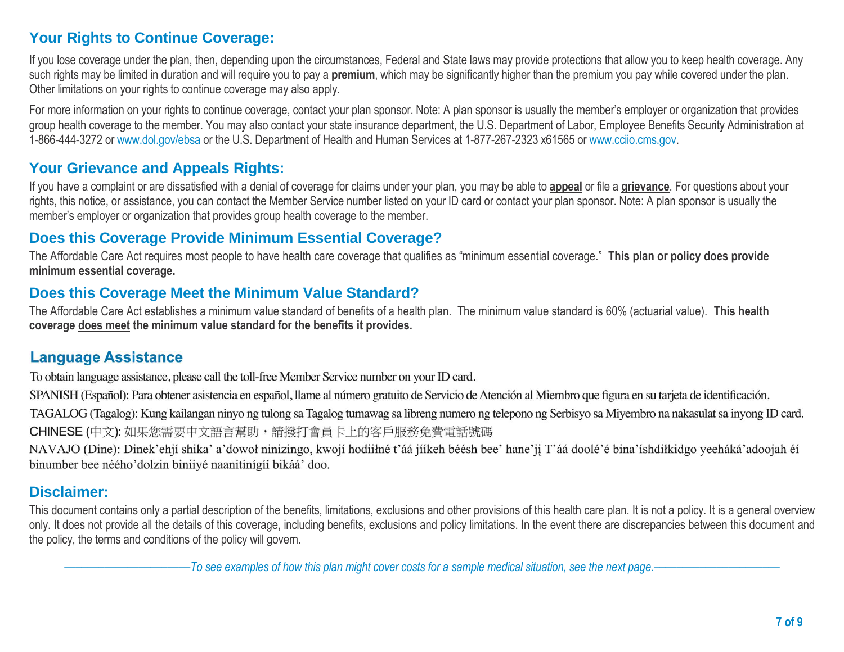# **Your Rights to Continue Coverage:**

If you lose coverage under the plan, then, depending upon the circumstances, Federal and State laws may provide protections that allow you to keep health coverage. Any such rights may be limited in duration and will require you to pay a **premium**, which may be significantly higher than the premium you pay while covered under the plan. Other limitations on your rights to continue coverage may also apply.

For more information on your rights to continue coverage, contact your plan sponsor. Note: A plan sponsor is usually the member's employer or organization that provides group health coverage to the member. You may also contact your state insurance department, the U.S. Department of Labor, Employee Benefits Security Administration at 1-866-444-3272 or [www.dol.gov/ebsa](http://www.dol.gov/ebsa) or the U.S. Department of Health and Human Services at 1-877-267-2323 x61565 or [www.cciio.cms.gov.](http://www.cciio.cms.gov/)

### **Your Grievance and Appeals Rights:**

If you have a complaint or are dissatisfied with a denial of coverage for claims under your plan, you may be able to **appeal** or file a **grievance**. For questions about your rights, this notice, or assistance, you can contact the Member Service number listed on your ID card or contact your plan sponsor. Note: A plan sponsor is usually the member's employer or organization that provides group health coverage to the member.

## **Does this Coverage Provide Minimum Essential Coverage?**

The Affordable Care Act requires most people to have health care coverage that qualifies as "minimum essential coverage." **This plan or policy does provide minimum essential coverage.** 

## **Does this Coverage Meet the Minimum Value Standard?**

The Affordable Care Act establishes a minimum value standard of benefits of a health plan. The minimum value standard is 60% (actuarial value). **This health coverage does meet the minimum value standard for the benefits it provides.**

#### **Language Assistance**

To obtain language assistance, please call the toll-free Member Service number on your ID card.

SPANISH (Español): Para obtener asistencia en español, llame al número gratuito de Servicio de Atención al Miembro que figura en su tarjeta de identificación.

TAGALOG (Tagalog): Kung kailangan ninyo ng tulong sa Tagalog tumawag sa libreng numero ng telepono ng Serbisyo sa Miyembro na nakasulat sa inyong ID card. CHINESE (中文): 如果您需要中文語言幫助, 請撥打會員卡上的客戶服務免費電話號碼

NAVAJO (Dine): Dinek'ehjí shika' a'dowoł ninizingo, kwojí hodiiłné t'áá jííkeh béésh bee' hane'ji T'áá doolé'é bina'íshdiłkidgo yeeháká'adoojah éí binumber bee néého'dolzin biniiyé naanitinígíí bikáá' doo.

#### **Disclaimer:**

This document contains only a partial description of the benefits, limitations, exclusions and other provisions of this health care plan. It is not a policy. It is a general overview only. It does not provide all the details of this coverage, including benefits, exclusions and policy limitations. In the event there are discrepancies between this document and the policy, the terms and conditions of the policy will govern.

*––––––––––––––––––––––To see examples of how this plan might cover costs for a sample medical situation, see the next page.––––––––––––––––––––––*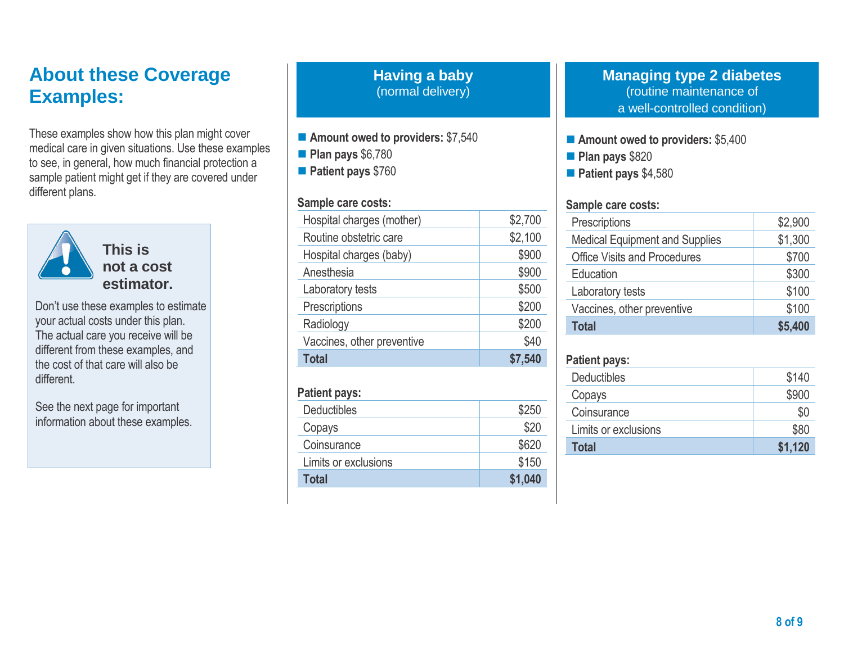# **About these Coverage Examples:**

These examples show how this plan might cover medical care in given situations. Use these examples to see, in general, how much financial protection a sample patient might get if they are covered under different plans.



**This is not a cost estimator.** 

Don't use these examples to estimate your actual costs under this plan. The actual care you receive will be different from these examples, and the cost of that care will also be different.

See the next page for important information about these examples.

#### **Having a baby** (normal delivery)

- Amount owed to providers: \$7,540
- **Plan pays** \$6,780
- **Patient pays** \$760

#### **Sample care costs:**

| Hospital charges (mother)  | \$2,700 |
|----------------------------|---------|
| Routine obstetric care     | \$2,100 |
| Hospital charges (baby)    | \$900   |
| Anesthesia                 | \$900   |
| Laboratory tests           | \$500   |
| Prescriptions              | \$200   |
| Radiology                  | \$200   |
| Vaccines, other preventive | \$40    |
| Total                      | \$7,540 |

#### **Patient pays:**

| <b>Deductibles</b>   | \$250   |
|----------------------|---------|
| Copays               | \$20    |
| Coinsurance          | \$620   |
| Limits or exclusions | \$150   |
| Total                | \$1,040 |
|                      |         |

## **Managing type 2 diabetes** (routine maintenance of a well-controlled condition)

- **Amount owed to providers: \$5,400**
- **Plan pays** \$820
- **Patient pays** \$4,580

#### **Sample care costs:**

| Prescriptions                         | \$2,900 |
|---------------------------------------|---------|
| <b>Medical Equipment and Supplies</b> | \$1,300 |
| <b>Office Visits and Procedures</b>   | \$700   |
| Education                             | \$300   |
| Laboratory tests                      | \$100   |
| Vaccines, other preventive            | \$100   |
| <b>Total</b>                          | \$5,400 |

#### **Patient pays:**

| <b>Deductibles</b>   | \$140   |
|----------------------|---------|
| Copays               | \$900   |
| Coinsurance          | \$0     |
| Limits or exclusions | \$80    |
| <b>Total</b>         | \$1,120 |
|                      |         |